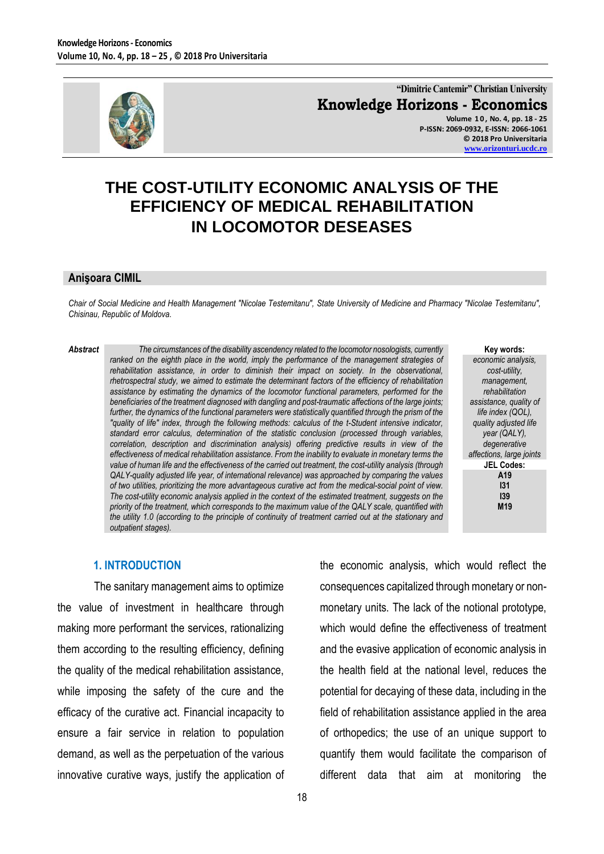

**"Dimitrie Cantemir" Christian University Knowledge Horizons - Economics Volume 1 0 , No. 4, pp. 18 - 25 P-ISSN: 2069-0932, E-ISSN: 2066-1061 © 2018 Pro Universitaria [www.orizonturi.ucdc.ro](http://www.orizonturi.ucdc.ro/)**

the economic analysis, which would reflect the

consequences capitalized through monetary or non-

monetary units. The lack of the notional prototype,

which would define the effectiveness of treatment

and the evasive application of economic analysis in

the health field at the national level, reduces the

potential for decaying of these data, including in the

field of rehabilitation assistance applied in the area

of orthopedics; the use of an unique support to

# **THE COST-UTILITY ECONOMIC ANALYSIS OF THE EFFICIENCY OF MEDICAL REHABILITATION IN LOCOMOTOR DESEASES**

#### **Anişoara CIMIL**

*Chair of Social Medicine and Health Management "Nicolae Testemitanu", State University of Medicine and Pharmacy "Nicolae Testemitanu", Chisinau, Republic of Moldova.*

*Abstract The circumstances of the disability ascendency related to the locomotor nosologists, currently ranked on the eighth place in the world, imply the performance of the management strategies of rehabilitation assistance, in order to diminish their impact on society. In the observational, rhetrospectral study, we aimed to estimate the determinant factors of the efficiency of rehabilitation assistance by estimating the dynamics of the locomotor functional parameters, performed for the beneficiaries of the treatment diagnosed with dangling and post-traumatic affections of the large joints; further, the dynamics of the functional parameters were statistically quantified through the prism of the "quality of life" index, through the following methods: calculus of the t-Student intensive indicator, standard error calculus, determination of the statistic conclusion (processed through variables, correlation, description and discrimination analysis) offering predictive results in view of the effectiveness of medical rehabilitation assistance. From the inability to evaluate in monetary terms the value of human life and the effectiveness of the carried out treatment, the cost-utility analysis (through QALY-quality adjusted life year, of international relevance) was approached by comparing the values of two utilities, prioritizing the more advantageous curative act from the medical-social point of view. The cost-utility economic analysis applied in the context of the estimated treatment, suggests on the priority of the treatment, which corresponds to the maximum value of the QALY scale, quantified with the utility 1.0 (according to the principle of continuity of treatment carried out at the stationary and outpatient stages).*

#### **Key words:**

*economic analysis, cost-utility, management, rehabilitation assistance, quality of life index (QOL), quality adjusted life year (QALY), degenerative affections, large joints* **JEL Codes: A19 I31 I39 M19**

#### **1. INTRODUCTION**

The sanitary management aims to optimize the value of investment in healthcare through making more performant the services, rationalizing them according to the resulting efficiency, defining the quality of the medical rehabilitation assistance, while imposing the safety of the cure and the efficacy of the curative act. Financial incapacity to ensure a fair service in relation to population demand, as well as the perpetuation of the various innovative curative ways, justify the application of

quantify them would facilitate the comparison of different data that aim at monitoring the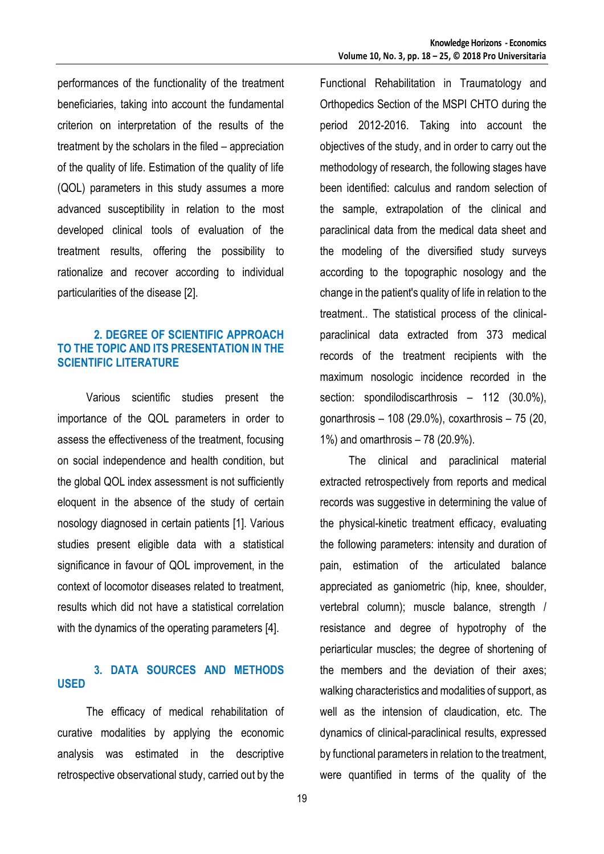performances of the functionality of the treatment beneficiaries, taking into account the fundamental criterion on interpretation of the results of the treatment by the scholars in the filed – appreciation of the quality of life. Estimation of the quality of life (QOL) parameters in this study assumes a more advanced susceptibility in relation to the most developed clinical tools of evaluation of the treatment results, offering the possibility to rationalize and recover according to individual particularities of the disease [2].

#### **2. DEGREE OF SCIENTIFIC APPROACH TO THE TOPIC AND ITS PRESENTATION IN THE SCIENTIFIC LITERATURE**

Various scientific studies present the importance of the QOL parameters in order to assess the effectiveness of the treatment, focusing on social independence and health condition, but the global QOL index assessment is not sufficiently eloquent in the absence of the study of certain nosology diagnosed in certain patients [1]. Various studies present eligible data with a statistical significance in favour of QOL improvement, in the context of locomotor diseases related to treatment, results which did not have a statistical correlation with the dynamics of the operating parameters [4].

## **3. DATA SOURCES AND METHODS USED**

The efficacy of medical rehabilitation of curative modalities by applying the economic analysis was estimated in the descriptive retrospective observational study, carried out by the

Functional Rehabilitation in Traumatology and Orthopedics Section of the MSPI CHTO during the period 2012-2016. Taking into account the objectives of the study, and in order to carry out the methodology of research, the following stages have been identified: calculus and random selection of the sample, extrapolation of the clinical and paraclinical data from the medical data sheet and the modeling of the diversified study surveys according to the topographic nosology and the change in the patient's quality of life in relation to the treatment.. The statistical process of the clinicalparaclinical data extracted from 373 medical records of the treatment recipients with the maximum nosologic incidence recorded in the section: spondilodiscarthrosis – 112 (30.0%), gonarthrosis – 108 (29.0%), coxarthrosis – 75 (20, 1%) and omarthrosis – 78 (20.9%).

The clinical and paraclinical material extracted retrospectively from reports and medical records was suggestive in determining the value of the physical-kinetic treatment efficacy, evaluating the following parameters: intensity and duration of pain, estimation of the articulated balance appreciated as ganiometric (hip, knee, shoulder, vertebral column); muscle balance, strength / resistance and degree of hypotrophy of the periarticular muscles; the degree of shortening of the members and the deviation of their axes; walking characteristics and modalities of support, as well as the intension of claudication, etc. The dynamics of clinical-paraclinical results, expressed by functional parameters in relation to the treatment, were quantified in terms of the quality of the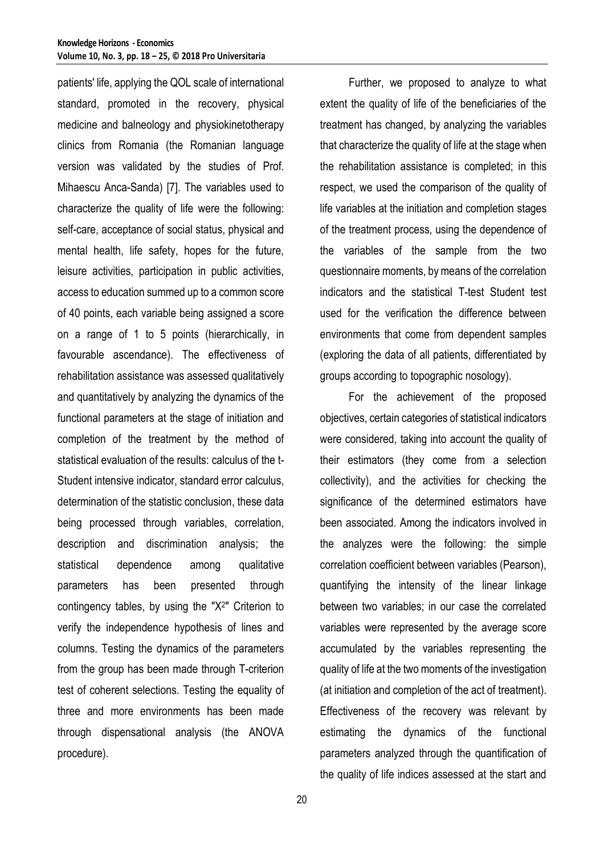patients' life, applying the QOL scale of international standard, promoted in the recovery, physical medicine and balneology and physiokinetotherapy clinics from Romania (the Romanian language version was validated by the studies of Prof. Mihaescu Anca-Sanda) [7]. The variables used to characterize the quality of life were the following: self-care, acceptance of social status, physical and mental health, life safety, hopes for the future, leisure activities, participation in public activities, access to education summed up to a common score of 40 points, each variable being assigned a score on a range of 1 to 5 points (hierarchically, in favourable ascendance). The effectiveness of rehabilitation assistance was assessed qualitatively and quantitatively by analyzing the dynamics of the functional parameters at the stage of initiation and completion of the treatment by the method of statistical evaluation of the results: calculus of the t-Student intensive indicator, standard error calculus, determination of the statistic conclusion, these data being processed through variables, correlation, description and discrimination analysis; the statistical dependence among qualitative parameters has been presented through contingency tables, by using the "X<sup>2</sup> " Criterion to verify the independence hypothesis of lines and columns. Testing the dynamics of the parameters from the group has been made through T-criterion test of coherent selections. Testing the equality of three and more environments has been made through dispensational analysis (the ANOVA procedure).

Further, we proposed to analyze to what extent the quality of life of the beneficiaries of the treatment has changed, by analyzing the variables that characterize the quality of life at the stage when the rehabilitation assistance is completed; in this respect, we used the comparison of the quality of life variables at the initiation and completion stages of the treatment process, using the dependence of the variables of the sample from the two questionnaire moments, by means of the correlation indicators and the statistical T-test Student test used for the verification the difference between environments that come from dependent samples (exploring the data of all patients, differentiated by groups according to topographic nosology).

For the achievement of the proposed objectives, certain categories of statistical indicators were considered, taking into account the quality of their estimators (they come from a selection collectivity), and the activities for checking the significance of the determined estimators have been associated. Among the indicators involved in the analyzes were the following: the simple correlation coefficient between variables (Pearson), quantifying the intensity of the linear linkage between two variables; in our case the correlated variables were represented by the average score accumulated by the variables representing the quality of life at the two moments of the investigation (at initiation and completion of the act of treatment). Effectiveness of the recovery was relevant by estimating the dynamics of the functional parameters analyzed through the quantification of the quality of life indices assessed at the start and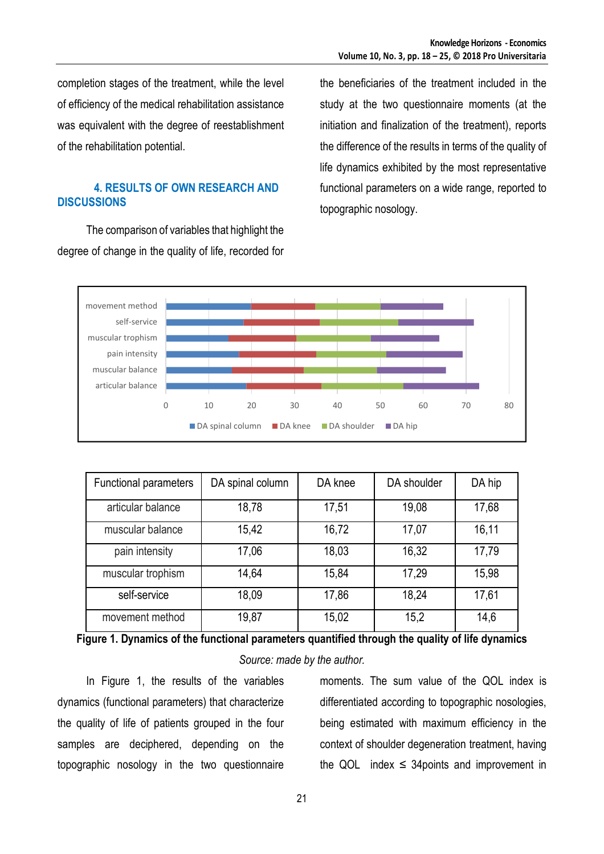completion stages of the treatment, while the level of efficiency of the medical rehabilitation assistance was equivalent with the degree of reestablishment of the rehabilitation potential.

### **4. RESULTS OF OWN RESEARCH AND DISCUSSIONS**

The comparison of variables that highlight the degree of change in the quality of life, recorded for the beneficiaries of the treatment included in the study at the two questionnaire moments (at the initiation and finalization of the treatment), reports the difference of the results in terms of the quality of life dynamics exhibited by the most representative functional parameters on a wide range, reported to topographic nosology.



| <b>Functional parameters</b> | DA spinal column | DA knee | DA shoulder | DA hip |
|------------------------------|------------------|---------|-------------|--------|
| articular balance            | 18,78            | 17,51   | 19,08       | 17,68  |
| muscular balance             | 15,42            | 16,72   | 17,07       | 16,11  |
| pain intensity               | 17,06            | 18,03   | 16,32       | 17,79  |
| muscular trophism            | 14,64            | 15,84   | 17,29       | 15,98  |
| self-service                 | 18,09            | 17,86   | 18,24       | 17,61  |
| movement method              | 19,87            | 15,02   | 15,2        | 14,6   |

**Figure 1. Dynamics of the functional parameters quantified through the quality of life dynamics**

## *Source: made by the author.*

In Figure 1, the results of the variables dynamics (functional parameters) that characterize the quality of life of patients grouped in the four samples are deciphered, depending on the topographic nosology in the two questionnaire

moments. The sum value of the QOL index is differentiated according to topographic nosologies, being estimated with maximum efficiency in the context of shoulder degeneration treatment, having the QOL index  $\leq$  34 points and improvement in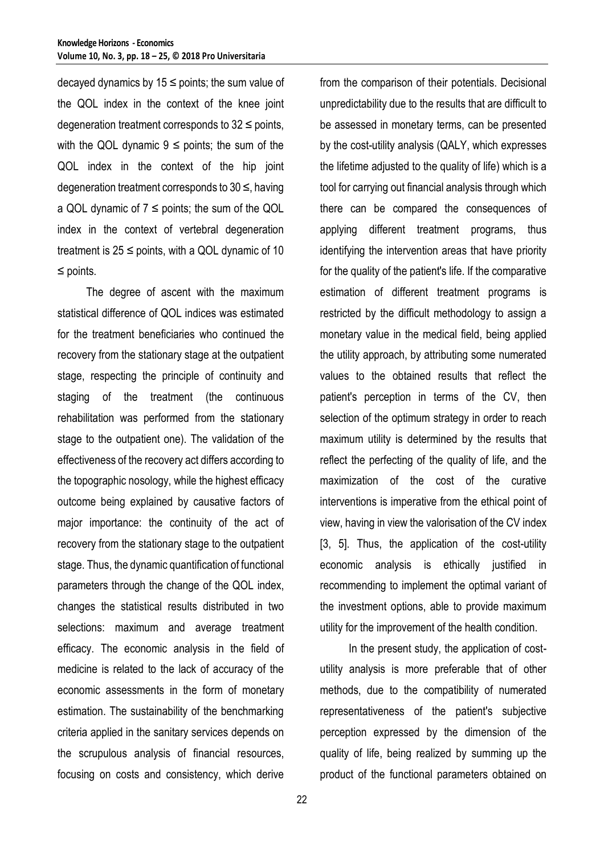decayed dynamics by  $15 \le$  points; the sum value of the QOL index in the context of the knee joint degeneration treatment corresponds to  $32 \le$  points, with the QOL dynamic  $9 \le$  points; the sum of the QOL index in the context of the hip joint degeneration treatment corresponds to 30 ≤, having a QOL dynamic of  $7 \le$  points; the sum of the QOL index in the context of vertebral degeneration treatment is  $25 \le$  points, with a QOL dynamic of 10 ≤ points.

The degree of ascent with the maximum statistical difference of QOL indices was estimated for the treatment beneficiaries who continued the recovery from the stationary stage at the outpatient stage, respecting the principle of continuity and staging of the treatment (the continuous rehabilitation was performed from the stationary stage to the outpatient one). The validation of the effectiveness of the recovery act differs according to the topographic nosology, while the highest efficacy outcome being explained by causative factors of major importance: the continuity of the act of recovery from the stationary stage to the outpatient stage. Thus, the dynamic quantification of functional parameters through the change of the QOL index, changes the statistical results distributed in two selections: maximum and average treatment efficacy. The economic analysis in the field of medicine is related to the lack of accuracy of the economic assessments in the form of monetary estimation. The sustainability of the benchmarking criteria applied in the sanitary services depends on the scrupulous analysis of financial resources, focusing on costs and consistency, which derive

from the comparison of their potentials. Decisional unpredictability due to the results that are difficult to be assessed in monetary terms, can be presented by the cost-utility analysis (QALY, which expresses the lifetime adjusted to the quality of life) which is a tool for carrying out financial analysis through which there can be compared the consequences of applying different treatment programs, thus identifying the intervention areas that have priority for the quality of the patient's life. If the comparative estimation of different treatment programs is restricted by the difficult methodology to assign a monetary value in the medical field, being applied the utility approach, by attributing some numerated values to the obtained results that reflect the patient's perception in terms of the CV, then selection of the optimum strategy in order to reach maximum utility is determined by the results that reflect the perfecting of the quality of life, and the maximization of the cost of the curative interventions is imperative from the ethical point of view, having in view the valorisation of the CV index [3, 5]. Thus, the application of the cost-utility economic analysis is ethically justified in recommending to implement the optimal variant of the investment options, able to provide maximum utility for the improvement of the health condition.

In the present study, the application of costutility analysis is more preferable that of other methods, due to the compatibility of numerated representativeness of the patient's subjective perception expressed by the dimension of the quality of life, being realized by summing up the product of the functional parameters obtained on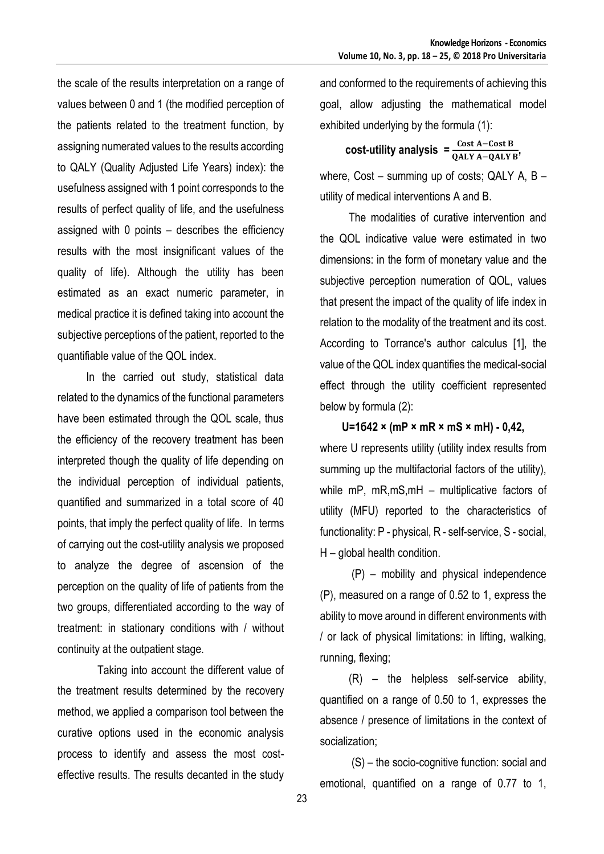the scale of the results interpretation on a range of values between 0 and 1 (the modified perception of the patients related to the treatment function, by assigning numerated values to the results according to QALY (Quality Adjusted Life Years) index): the usefulness assigned with 1 point corresponds to the results of perfect quality of life, and the usefulness assigned with 0 points – describes the efficiency results with the most insignificant values of the quality of life). Although the utility has been estimated as an exact numeric parameter, in medical practice it is defined taking into account the subjective perceptions of the patient, reported to the quantifiable value of the QOL index.

In the carried out study, statistical data related to the dynamics of the functional parameters have been estimated through the QOL scale, thus the efficiency of the recovery treatment has been interpreted though the quality of life depending on the individual perception of individual patients, quantified and summarized in a total score of 40 points, that imply the perfect quality of life. In terms of carrying out the cost-utility analysis we proposed to analyze the degree of ascension of the perception on the quality of life of patients from the two groups, differentiated according to the way of treatment: in stationary conditions with / without continuity at the outpatient stage.

 Taking into account the different value of the treatment results determined by the recovery method, we applied a comparison tool between the curative options used in the economic analysis process to identify and assess the most costeffective results. The results decanted in the study and conformed to the requirements of achieving this goal, allow adjusting the mathematical model exhibited underlying by the formula (1):

### $\text{cost-utility analysis} = \frac{\text{Cost A} - \text{Cost B}}{\text{OMVA} - \text{OMV}}$ **QALY A−QALY B**

where, Cost – summing up of costs; QALY A, B – utility of medical interventions A and B.

The modalities of curative intervention and the QOL indicative value were estimated in two dimensions: in the form of monetary value and the subjective perception numeration of QOL, values that present the impact of the quality of life index in relation to the modality of the treatment and its cost. According to Torrance's author calculus [1], the value of the QOL index quantifies the medical-social effect through the utility coefficient represented below by formula (2):

## **U=1б42 × (mP × mR × mS × mH) - 0,42,**

where U represents utility (utility index results from summing up the multifactorial factors of the utility), while mP, mR,mS,mH – multiplicative factors of utility (MFU) reported to the characteristics of functionality: P - physical, R - self-service, S - social, H – global health condition.

(P) – mobility and physical independence (P), measured on a range of 0.52 to 1, express the ability to move around in different environments with / or lack of physical limitations: in lifting, walking, running, flexing;

(R) – the helpless self-service ability, quantified on a range of 0.50 to 1, expresses the absence / presence of limitations in the context of socialization;

(S) – the socio-cognitive function: social and emotional, quantified on a range of 0.77 to 1,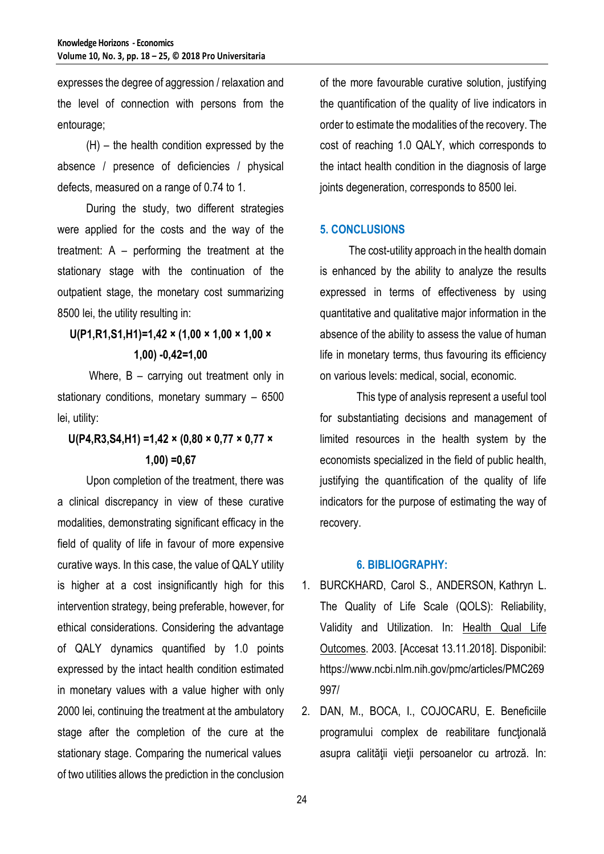expresses the degree of aggression / relaxation and the level of connection with persons from the entourage;

(H) – the health condition expressed by the absence / presence of deficiencies / physical defects, measured on a range of 0.74 to 1.

During the study, two different strategies were applied for the costs and the way of the treatment: A – performing the treatment at the stationary stage with the continuation of the outpatient stage, the monetary cost summarizing 8500 lei, the utility resulting in:

# **U(P1,R1,S1,H1)=1,42 × (1,00 × 1,00 × 1,00 × 1,00) -0,42=1,00**

Where, B – carrying out treatment only in stationary conditions, monetary summary – 6500 lei, utility:

# **U(P4,R3,S4,H1) =1,42 × (0,80 × 0,77 × 0,77 × 1,00) =0,67**

Upon completion of the treatment, there was a clinical discrepancy in view of these curative modalities, demonstrating significant efficacy in the field of quality of life in favour of more expensive curative ways. In this case, the value of QALY utility is higher at a cost insignificantly high for this intervention strategy, being preferable, however, for ethical considerations. Considering the advantage of QALY dynamics quantified by 1.0 points expressed by the intact health condition estimated in monetary values with a value higher with only 2000 lei, continuing the treatment at the ambulatory stage after the completion of the cure at the stationary stage. Comparing the numerical values of two utilities allows the prediction in the conclusion

of the more favourable curative solution, justifying the quantification of the quality of live indicators in order to estimate the modalities of the recovery. The cost of reaching 1.0 QALY, which corresponds to the intact health condition in the diagnosis of large joints degeneration, corresponds to 8500 lei.

## **5. CONCLUSIONS**

The cost-utility approach in the health domain is enhanced by the ability to analyze the results expressed in terms of effectiveness by using quantitative and qualitative major information in the absence of the ability to assess the value of human life in monetary terms, thus favouring its efficiency on various levels: medical, social, economic.

This type of analysis represent a useful tool for substantiating decisions and management of limited resources in the health system by the economists specialized in the field of public health, justifying the quantification of the quality of life indicators for the purpose of estimating the way of recovery.

#### **6. BIBLIOGRAPHY:**

- 1. BURCKHARD, Carol S., ANDERSON, Kathryn L. The Quality of Life Scale (QOLS): Reliability, Validity and Utilization. In: [Health Qual Life](https://www.ncbi.nlm.nih.gov/pmc/articles/PMC269997/)  [Outcomes.](https://www.ncbi.nlm.nih.gov/pmc/articles/PMC269997/) 2003. [Accesat 13.11.2018]. Disponibil: https://www.ncbi.nlm.nih.gov/pmc/articles/PMC269 997/
- 2. DAN, M., BOCA, I., COJOCARU, E. Beneficiile programului complex de reabilitare funcțională asupra calităţii vieţii persoanelor cu artroză. In: